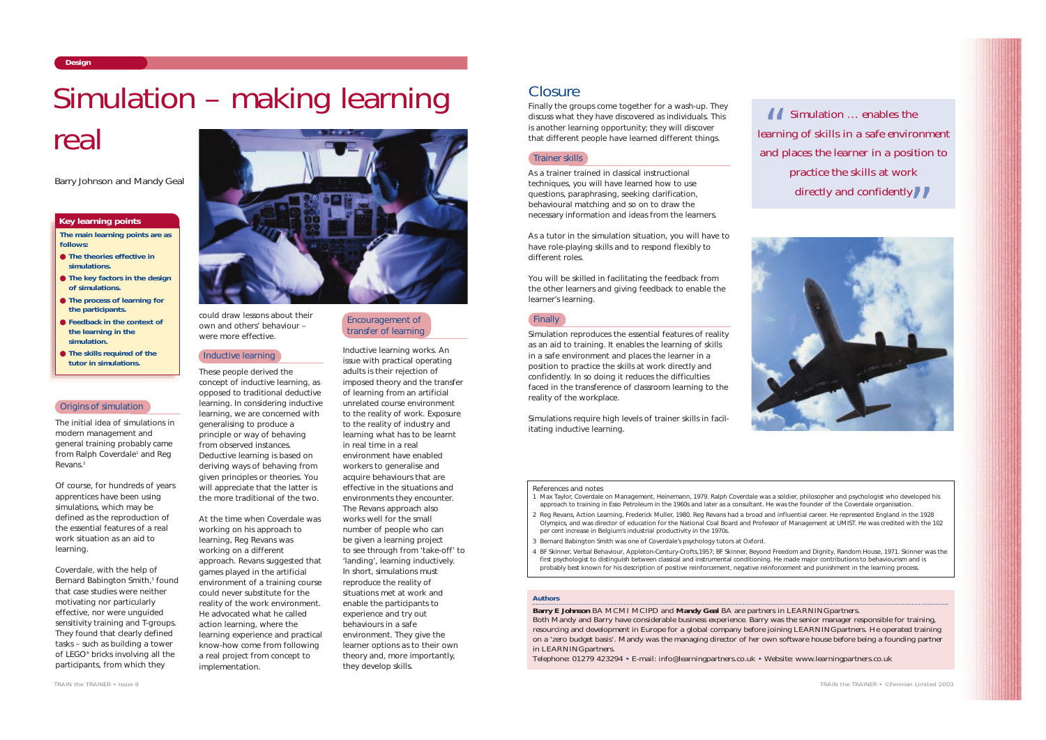The initial idea of simulations in modern management and general training probably came from Ralph Coverdale<sup>1</sup> and Reg Revans.2

Of course, for hundreds of years apprentices have been using simulations, which may be defined as *the reproduction of the essential features of a real work situation as an aid to learning*.

Coverdale, with the help of Bernard Babington Smith,<sup>3</sup> found that case studies were neither motivating nor particularly effective, nor were unguided sensitivity training and T-groups. They found that clearly defined tasks – such as building a tower of LEGO® bricks involving all the participants, from which they



could draw lessons about their own and others' behaviour – were more effective.

### Inductive learning

These people derived the concept of inductive learning, as opposed to traditional deductive learning. In considering inductive learning, we are concerned with generalising to produce a principle or way of behaving from observed instances. Deductive learning is based on deriving ways of behaving from given principles or theories. You will appreciate that the latter is the more traditional of the two.

At the time when Coverdale was working on his approach to learning, Reg Revans was working on a different approach. Revans suggested that games played in the artificial environment of a training course could never substitute for the reality of the work environment. He advocated what he called *action learning*, where the learning experience and practical know-how come from following a real project from concept to implementation.

Inductive learning works. An issue with practical operating adults is their rejection of imposed theory and the transfer of learning from an artificial unrelated course environment to the reality of work. Exposure to the reality of industry and learning what has to be learnt in real time in a real environment have enabled workers to generalise and acquire behaviours that are effective in the situations and environments they encounter. The Revans approach also works well for the small number of people who can be given a learning project to see through from 'take-off' to 'landing', learning inductively. In short, simulations must reproduce the reality of situations met at work and enable the participants to experience and try out behaviours in a safe environment. They give the learner options as to their own theory and, more importantly, they develop skills.

# **Closure**

Encouragement of Finally transfer of learning

**Design**

### *Authors*

**Barry E Johnson** BA MCMI MCIPD and **Mandy Geal** BA are partners in LEARNING*partners*. Both Mandy and Barry have considerable business experience. Barry was the senior manager responsible for training, resourcing and development in Europe for a global company before joining LEARNING*partners*. He operated training on a 'zero budget basis'. Mandy was the managing director of her own software house before being a founding partner in LEARNING*partners*.

Telephone: 01279 423294 • E-mail: info@learningpartners.co.uk • Website: www.learningpartners.co.uk

 $\overline{\mathbf{G}}$ 



*TRAIN the TRAINER • ©Fenman Limited 2003*

**The main learning points are as follows:**

- **The theories effective in simulations.**
- **The key factors in the design of simulations.**
- **The process of learning for the participants.**
- **Feedback in the context of the learning in the simulation.**
- **The skills required of the tutor in simulations.**

### **Key learning points**

# Simulation – making learning

# real

Finally the groups come together for a wash-up. They discuss what they have discovered as individuals. This is another learning opportunity; they will discover that different people have learned different things.

As a trainer trained in classical instructional techniques, you will have learned how to use questions, paraphrasing, seeking clarification, behavioural matching and so on to draw the necessary information and ideas from the learners.

As a tutor in the simulation situation, you will have to have role-playing skills and to respond flexibly to different roles.

You will be skilled in facilitating the feedback from the other learners and giving feedback to enable the learner's learning.

Simulation reproduces the essential features of reality as an aid to training. It enables the learning of skills in a safe environment and places the learner in a position to practice the skills at work directly and confidently. In so doing it reduces the difficulties faced in the transference of classroom learning to the reality of the workplace.

Simulations require high levels of trainer skills in facilitating inductive learning.

### Origins of simulation

### Trainer skills

*Barry Johnson and Mandy Geal*

### *References and notes*

- 1 Max Taylor, *Coverdale on Management*, Heinemann, 1979. Ralph Coverdale was a soldier, philosopher and psychologist who developed his approach to training in Esso Petroleum in the 1960s and later as a consultant. He was the founder of the Coverdale organisation.
- 2 Reg Revans, *Action Learning*, Frederick Muller, 1980. Reg Revans had a broad and influential career. He represented England in the 1928 Olympics, and was director of education for the National Coal Board and Professor of Management at UMIST. He was credited with the 102 per cent increase in Belgium's industrial productivity in the 1970s.
- 3 Bernard Babington Smith was one of Coverdale's psychology tutors at Oxford.
- 4 BF Skinner, *Verbal Behaviour*, Appleton-Century-Crofts,1957; BF Skinner, *Beyond Freedom and Dignity*, Random House, 1971. Skinner was the first psychologist to distinguish between classical and instrumental conditioning. He made major contributions to behaviourism and is probably best known for his description of positive reinforcement, negative reinforcement and punishment in the learning process.

*Simulation … enables the learning of skills in a safe environment and places the learner in a position to practice the skills at work directly and confidently* "